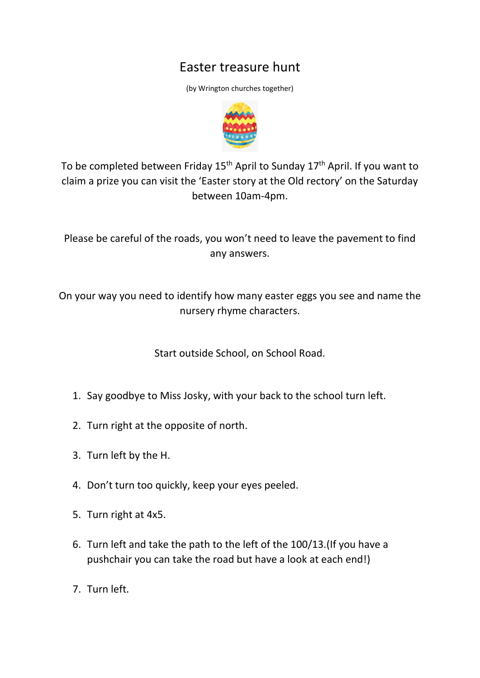## Easter treasure hunt

(by Wrington churches together)



To be completed between Friday  $15<sup>th</sup>$  April to Sunday  $17<sup>th</sup>$  April. If you want to claim a prize you can visit the 'Easter story at the Old rectory' on the Saturday between 10am-4pm.

Please be careful of the roads, you won't need to leave the pavement to find any answers.

On your way you need to identify how many easter eggs you see and name the nursery rhyme characters.

Start outside School, on School Road.

- 1. Say goodbye to Miss Josky, with your back to the school turn left.
- 2. Turn right at the opposite of north.
- 3. Turn left by the H.
- 4. Don't turn too quickly, keep your eyes peeled.
- 5. Turn right at 4x5.
- 6. Turn left and take the path to the left of the 100/13.(If you have a pushchair you can take the road but have a look at each end!)
- 7. Turn left.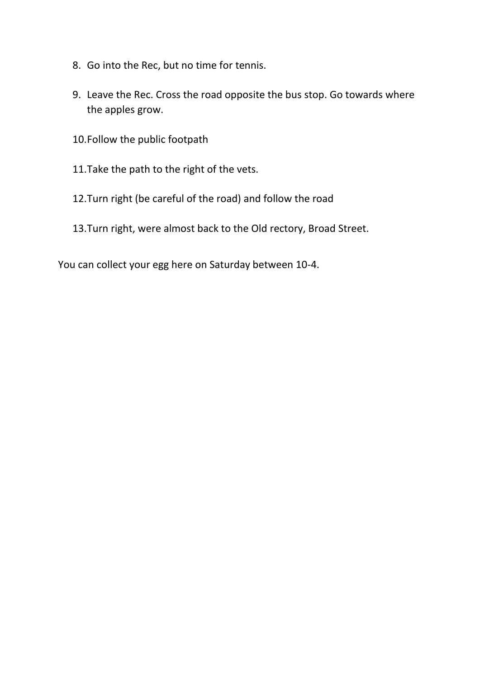- 8. Go into the Rec, but no time for tennis.
- 9. Leave the Rec. Cross the road opposite the bus stop. Go towards where the apples grow.
- 10.Follow the public footpath
- 11.Take the path to the right of the vets.
- 12.Turn right (be careful of the road) and follow the road
- 13.Turn right, were almost back to the Old rectory, Broad Street.

You can collect your egg here on Saturday between 10-4.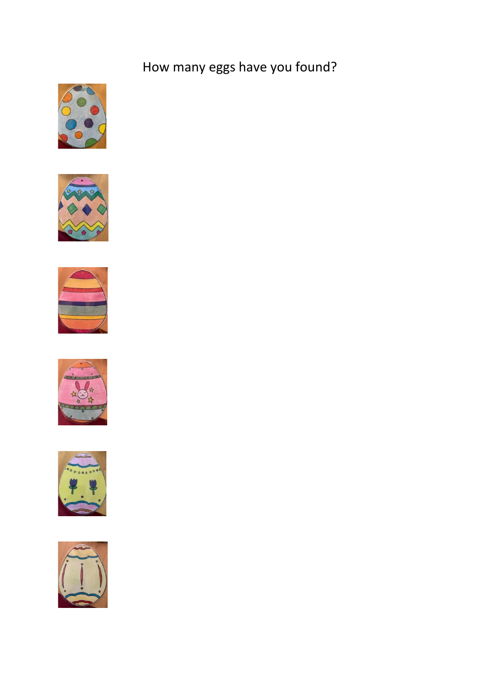## How many eggs have you found?